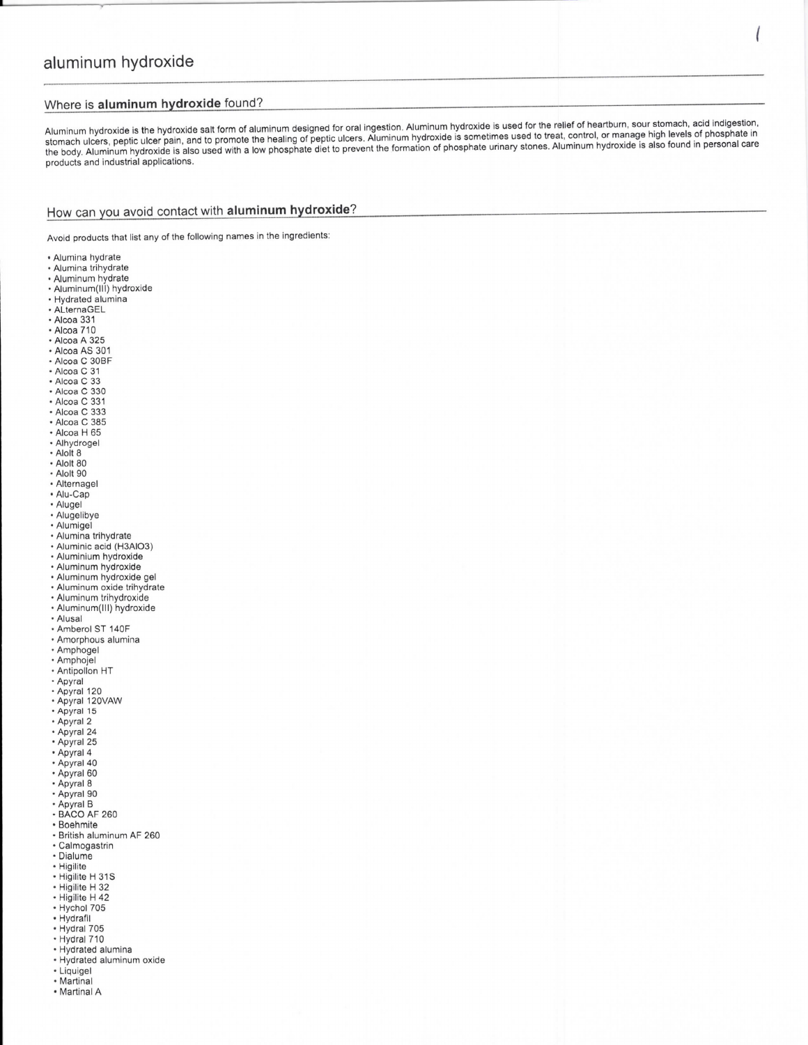# aluminum hydroxide

#### Where is aluminum hydroxide found?

Aluminum hydroxide is the hydroxide salt form of aluminum designed for oral ingestion. Aluminum hydroxide is used for the relief of heartburn, sour stomach, acid indigestion, stomach ulcers, peptic ulcer pain, and to promote the healing of peptic ulcers. Aluminum hydroxide is sometimes used to treat, control, or manage high levels of phosphate in שמחומטו עוסיים, אפן שפון שמשום שמחומט של המשפחה של המוזוחים ומשפחה את המשפחה של המשפחה של המשפחה של השוויט של<br>the body. Aluminum hydroxide is also used with a low phosphate diet to prevent the formation of phosphate urina products and industrial applications.

## How can you avoid contact with aluminum hydroxide?

Avoid products that list any of the following names in the ingredients:

- Alumina hydrate
- · Alumina trihydrate
- · Aluminum hydrate
- · Aluminum(III) hydroxide · Hydrated alumina
- · ALternaGEL
- Alcoa 331
- 
- 
- Alcoa 331<br>• Alcoa A 325<br>• Alcoa AS 301<br>• Alcoa C 30BF<br>• Alcoa C 31<br>• Alcoa C 33
- 
- 
- 
- Alcoa C 330
- Alcoa C 331 - Alcoa C 333
- Alcoa C 385
- Alcoa H 65
- · Alhydrogel
- Alolt 8
- Alolt 80
- Alolt 90
- Alternagel
- Alu-Cap
- Alugel
- Alugelibye
- · Alumigel
- · Alumina trihydrate
- Aluminic acid (H3AlO3)<br>- Aluminium hydroxide
- 
- 
- 
- Aluminium hydroxide<br>- Aluminum hydroxide gel<br>- Aluminum oxide trihydrate
- Aluminum trihydroxide · Aluminum(III) hydroxide
- 
- Alusal
- · Amberol ST 140F Amberon ST 1401<br>
- Amphogel<br>
- Amphojel
- 
- 
- Antipollon<br>- Apyral<br>- Apyral 120
- 
- 
- · Apyral 120VAW
- · Apyral 15
- · Apyral 2
- · Apyral 24
- · Apyral 25
- Apyral 4
- · Apyral 40
- Apyral 60
- Apyral 8
- · Apyral 90
- 
- Apyral B<br>• BACO AF 260
- Boehmite
- · British aluminum AF 260 · Calmogastrin
- · Dialume
- 
- 
- · Higilite<br>• Higilite H 31S
- Higilite H 313<br>• Higilite H 42<br>• Hychol 705<br>• Hydrafil<br>• Hydraf 705
- 
- 
- 
- 
- · Hydral 710
- 
- Hydrated alumina<br>• Hydrated alumina<br>• Hydrated aluminum oxide
- · Liquigel • Martinal
- Martinal A